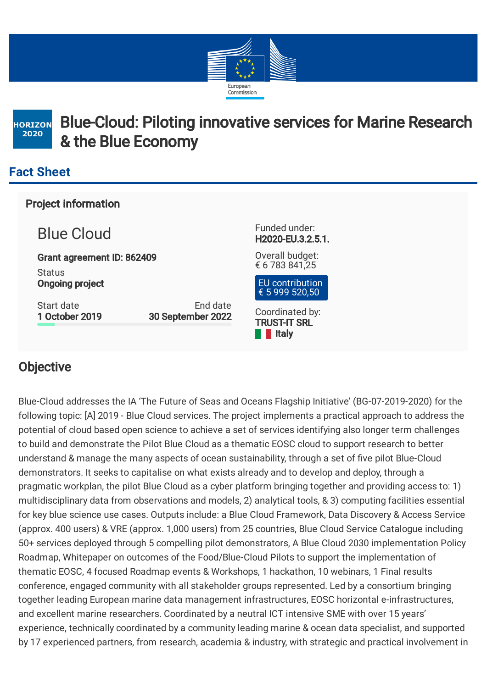



# Blue-Cloud: Piloting innovative services for Marine Research & the Blue Economy

### **Fact Sheet**

Project information

Blue Cloud

Grant agreement ID: 862409 **Status** Ongoing project

Start date 1 October 2019

End date 30 September 2022 Funded under: H2020-EU.3.2.5.1.

Overall budget: € 6 783 841,25



Coordinated by: TRUST-IT SRL **I**I Italy

### **Objective**

Blue-Cloud addresses the IA 'The Future of Seas and Oceans Flagship Initiative' (BG-07-2019-2020) for the following topic: [A] 2019 - Blue Cloud services. The project implements a practical approach to address the potential of cloud based open science to achieve a set of services identifying also longer term challenges to build and demonstrate the Pilot Blue Cloud as a thematic EOSC cloud to support research to better understand & manage the many aspects of ocean sustainability, through a set of five pilot Blue-Cloud demonstrators. It seeks to capitalise on what exists already and to develop and deploy, through a pragmatic workplan, the pilot Blue Cloud as a cyber platform bringing together and providing access to: 1) multidisciplinary data from observations and models, 2) analytical tools, & 3) computing facilities essential for key blue science use cases. Outputs include: a Blue Cloud Framework, Data Discovery & Access Service (approx. 400 users) & VRE (approx. 1,000 users) from 25 countries, Blue Cloud Service Catalogue including 50+ services deployed through 5 compelling pilot demonstrators, A Blue Cloud 2030 implementation Policy Roadmap, Whitepaper on outcomes of the Food/Blue-Cloud Pilots to support the implementation of thematic EOSC, 4 focused Roadmap events & Workshops, 1 hackathon, 10 webinars, 1 Final results conference, engaged community with all stakeholder groups represented. Led by a consortium bringing together leading European marine data management infrastructures, EOSC horizontal e-infrastructures, and excellent marine researchers. Coordinated by a neutral ICT intensive SME with over 15 years' experience, technically coordinated by a community leading marine & ocean data specialist, and supported by 17 experienced partners, from research, academia & industry, with strategic and practical involvement in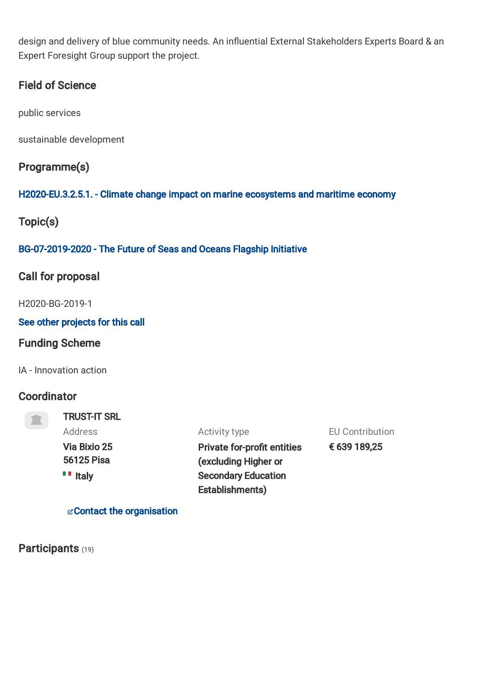design and delivery of blue community needs. An influential External Stakeholders Experts Board & an Expert Foresight Group support the project.

#### Field of Science

public services

sustainable development

#### Programme(s)

#### [H2020-EU.3.2.5.1.](https://cordis.europa.eu/programme/rcn/664315/en) - Climate change impact on marine ecosystems and maritime economy

Topic(s)

#### [BG-07-2019-2020](https://cordis.europa.eu/programme/rcn/702822/en) - The Future of Seas and Oceans Flagship Initiative

#### Call for proposal

H2020-BG-2019-1

#### See other [projects](https://cordis.europa.eu/search/en?q=contenttype%3D%27project%27+AND+%2Fproject%2Frelations%2Fassociations%2FrelatedSubCall%2Fcall%2Fidentifier%3D%27H2020-BG-2019-1%27&p=1&num=10&srt=Relevance:decreasing) for this call

#### Funding Scheme

IA - Innovation action

#### **Coordinator**

#### TRUST-IT SRL Address

Contact the [organisation](https://ec.europa.eu/info/funding-tenders/opportunities/portal/screen/contact-form/PROJECT/906664821/862409)

Activity type

Via Bixio 25 56125 Pisa **III** Italy

Private for-profit entities (excluding Higher or Secondary Education Establishments)

EU Contribution

€ 639 189,25

## Participants (19)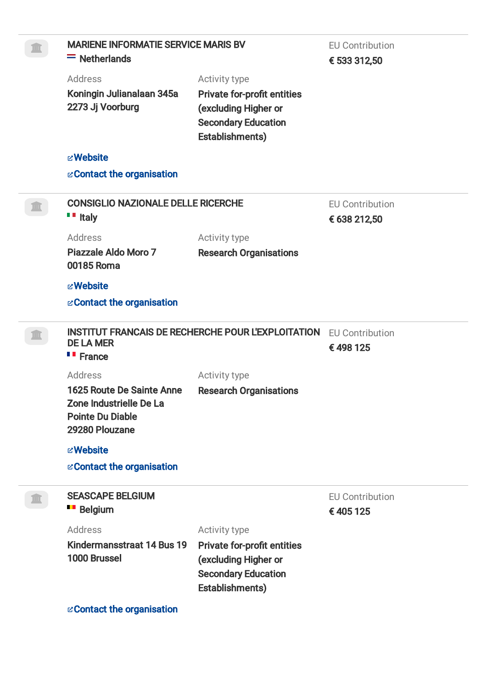| <b>MARIENE INFORMATIE SERVICE MARIS BV</b><br>$=$ Netherlands                                     |                                                                                                                                     | <b>EU Contribution</b><br>€ 533 312,50 |
|---------------------------------------------------------------------------------------------------|-------------------------------------------------------------------------------------------------------------------------------------|----------------------------------------|
| <b>Address</b><br>Koningin Julianalaan 345a<br>2273 Jj Voorburg                                   | Activity type<br><b>Private for-profit entities</b><br>(excluding Higher or<br><b>Secondary Education</b><br><b>Establishments)</b> |                                        |
| <b><i><b>E</b></i> Website</b>                                                                    |                                                                                                                                     |                                        |
| & Contact the organisation                                                                        |                                                                                                                                     |                                        |
| <b>CONSIGLIO NAZIONALE DELLE RICERCHE</b><br>$\blacksquare$ Italy                                 |                                                                                                                                     | <b>EU Contribution</b><br>€ 638 212,50 |
| <b>Address</b><br>Piazzale Aldo Moro 7<br>00185 Roma                                              | Activity type<br><b>Research Organisations</b>                                                                                      |                                        |
| <b>E</b> Website<br>& Contact the organisation                                                    |                                                                                                                                     |                                        |
| <b>INSTITUT FRANCAIS DE RECHERCHE POUR L'EXPLOITATION</b><br><b>DE LA MER</b><br><b>"</b> France  |                                                                                                                                     | <b>EU Contribution</b><br>€498125      |
| Address                                                                                           | Activity type                                                                                                                       |                                        |
| 1625 Route De Sainte Anne<br>Zone Industrielle De La<br><b>Pointe Du Diable</b><br>29280 Plouzane | <b>Research Organisations</b>                                                                                                       |                                        |
| <b><i><b>E</b></i> Website</b>                                                                    |                                                                                                                                     |                                        |
| & Contact the organisation                                                                        |                                                                                                                                     |                                        |
| <b>SEASCAPE BELGIUM</b><br><b>Belgium</b>                                                         |                                                                                                                                     | <b>EU Contribution</b><br>€405125      |
| Address                                                                                           | Activity type                                                                                                                       |                                        |
| Kindermansstraat 14 Bus 19<br>1000 Brussel                                                        | <b>Private for-profit entities</b><br>(excluding Higher or<br><b>Secondary Education</b><br><b>Establishments)</b>                  |                                        |
| & Contact the organisation                                                                        |                                                                                                                                     |                                        |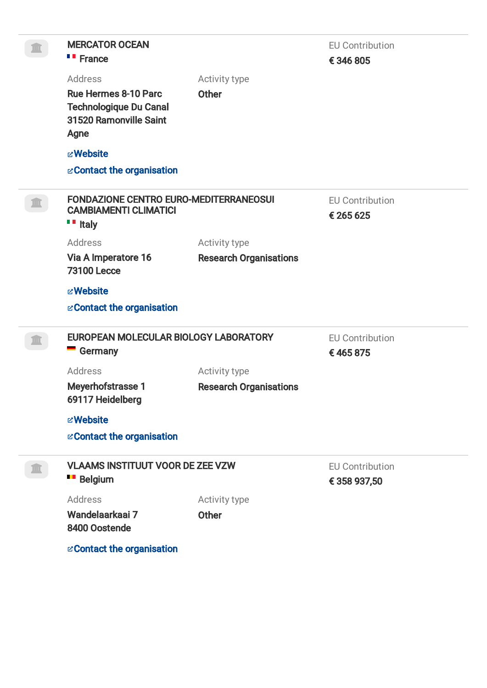| <b>MERCATOR OCEAN</b><br><b>"</b> France                                                       |                               | <b>EU Contribution</b><br>€346805      |
|------------------------------------------------------------------------------------------------|-------------------------------|----------------------------------------|
| Address                                                                                        | Activity type                 |                                        |
| <b>Rue Hermes 8-10 Parc</b><br><b>Technologique Du Canal</b><br>31520 Ramonville Saint<br>Agne | <b>Other</b>                  |                                        |
| <b><i><b>E</b></i> Website</b>                                                                 |                               |                                        |
| <b>EXECONTACT the organisation</b>                                                             |                               |                                        |
|                                                                                                |                               |                                        |
| FONDAZIONE CENTRO EURO-MEDITERRANEOSUI<br><b>CAMBIAMENTI CLIMATICI</b><br>$\blacksquare$ Italy |                               | <b>EU Contribution</b><br>€ 265 625    |
| <b>Address</b>                                                                                 | Activity type                 |                                        |
| Via A Imperatore 16<br><b>73100 Lecce</b>                                                      | <b>Research Organisations</b> |                                        |
| <b>E</b> Website                                                                               |                               |                                        |
| & Contact the organisation                                                                     |                               |                                        |
| EUROPEAN MOLECULAR BIOLOGY LABORATORY                                                          |                               | <b>EU Contribution</b>                 |
| $\blacksquare$ Germany                                                                         |                               | €465875                                |
| <b>Address</b>                                                                                 | Activity type                 |                                        |
| <b>Meyerhofstrasse 1</b><br>69117 Heidelberg                                                   | <b>Research Organisations</b> |                                        |
| <b><i><b>E</b></i> Website</b>                                                                 |                               |                                        |
| & Contact the organisation                                                                     |                               |                                        |
| <b>VLAAMS INSTITUUT VOOR DE ZEE VZW</b><br><b>Belgium</b>                                      |                               | <b>EU Contribution</b><br>€ 358 937,50 |
| <b>Address</b>                                                                                 | Activity type                 |                                        |
| Wandelaarkaai 7<br>8400 Oostende                                                               | <b>Other</b>                  |                                        |
| <b>EContact the organisation</b>                                                               |                               |                                        |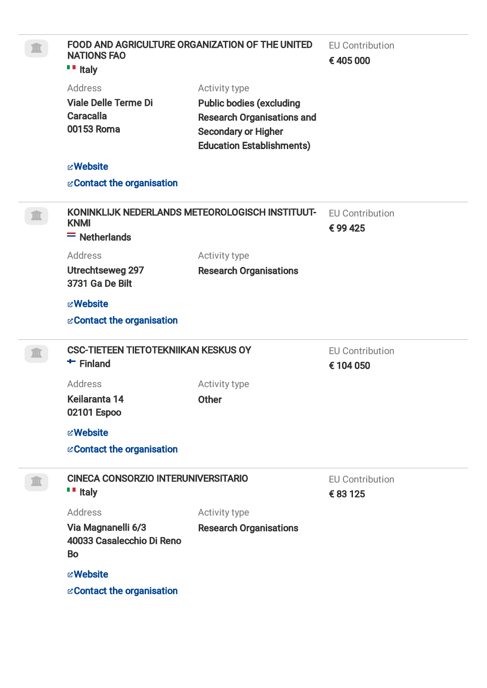| FOOD AND AGRICULTURE ORGANIZATION OF THE UNITED<br><b>NATIONS FAO</b><br>$\blacksquare$ Italy |                                                                                                                                                         | <b>EU Contribution</b><br>€405 000  |  |
|-----------------------------------------------------------------------------------------------|---------------------------------------------------------------------------------------------------------------------------------------------------------|-------------------------------------|--|
| Address<br><b>Viale Delle Terme Di</b><br><b>Caracalla</b><br>00153 Roma                      | Activity type<br><b>Public bodies (excluding</b><br><b>Research Organisations and</b><br><b>Secondary or Higher</b><br><b>Education Establishments)</b> |                                     |  |
| <b><i><b>E</b></i> Website</b>                                                                |                                                                                                                                                         |                                     |  |
| & Contact the organisation                                                                    |                                                                                                                                                         |                                     |  |
| KONINKLIJK NEDERLANDS METEOROLOGISCH INSTITUUT-<br><b>KNMI</b><br>$=$ Netherlands             |                                                                                                                                                         | <b>EU Contribution</b><br>€99425    |  |
| <b>Address</b>                                                                                | Activity type                                                                                                                                           |                                     |  |
| Utrechtseweg 297<br><b>3731 Ga De Bilt</b>                                                    | <b>Research Organisations</b>                                                                                                                           |                                     |  |
| <b><i><b>E</b></i> Website</b>                                                                |                                                                                                                                                         |                                     |  |
| & Contact the organisation                                                                    |                                                                                                                                                         |                                     |  |
| <b>CSC-TIETEEN TIETOTEKNIIKAN KESKUS OY</b><br>$+$ Finland                                    |                                                                                                                                                         | <b>EU Contribution</b><br>€ 104 050 |  |
| <b>Address</b>                                                                                | Activity type                                                                                                                                           |                                     |  |
| Keilaranta 14<br>02101 Espoo                                                                  | Other                                                                                                                                                   |                                     |  |
| <b><i><b>E</b></i> Website</b>                                                                |                                                                                                                                                         |                                     |  |
| & Contact the organisation                                                                    |                                                                                                                                                         |                                     |  |
| <b>CINECA CONSORZIO INTERUNIVERSITARIO</b><br>$\blacksquare$ Italy                            |                                                                                                                                                         | <b>EU Contribution</b><br>€ 83 125  |  |
| <b>Address</b>                                                                                | Activity type                                                                                                                                           |                                     |  |
| Via Magnanelli 6/3<br>40033 Casalecchio Di Reno<br><b>Bo</b>                                  | <b>Research Organisations</b>                                                                                                                           |                                     |  |
| <b><i><b>E</b></i> Website</b>                                                                |                                                                                                                                                         |                                     |  |
| & Contact the organisation                                                                    |                                                                                                                                                         |                                     |  |
|                                                                                               |                                                                                                                                                         |                                     |  |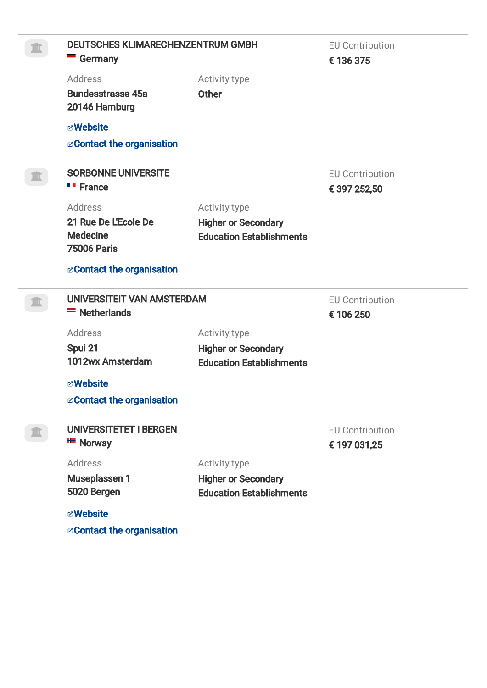| <b>DEUTSCHES KLIMARECHENZENTRUM GMBH</b>  |                                 | <b>EU Contribution</b>                 |  |
|-------------------------------------------|---------------------------------|----------------------------------------|--|
| <b>Germany</b>                            |                                 | € 136 375                              |  |
| <b>Address</b>                            | Activity type                   |                                        |  |
| <b>Bundesstrasse 45a</b><br>20146 Hamburg | <b>Other</b>                    |                                        |  |
| <b>z</b> Website                          |                                 |                                        |  |
| & Contact the organisation                |                                 |                                        |  |
| <b>SORBONNE UNIVERSITE</b>                |                                 | <b>EU Contribution</b>                 |  |
| <b>"</b> France                           |                                 | € 397 252,50                           |  |
| <b>Address</b>                            | Activity type                   |                                        |  |
| 21 Rue De L'Ecole De                      | <b>Higher or Secondary</b>      |                                        |  |
| <b>Medecine</b>                           | <b>Education Establishments</b> |                                        |  |
| <b>75006 Paris</b>                        |                                 |                                        |  |
| & Contact the organisation                |                                 |                                        |  |
|                                           |                                 |                                        |  |
| UNIVERSITEIT VAN AMSTERDAM                |                                 | <b>EU Contribution</b>                 |  |
| $=$ Netherlands                           |                                 | € 106 250                              |  |
| <b>Address</b>                            | Activity type                   |                                        |  |
| Spui 21                                   | <b>Higher or Secondary</b>      |                                        |  |
| 1012wx Amsterdam                          | <b>Education Establishments</b> |                                        |  |
| <b><i><b>E</b></i> Website</b>            |                                 |                                        |  |
| & Contact the organisation                |                                 |                                        |  |
| <b>UNIVERSITETET I BERGEN</b>             |                                 |                                        |  |
| <b>HE</b> Norway                          |                                 | <b>EU Contribution</b><br>€ 197 031,25 |  |
| <b>Address</b>                            | Activity type                   |                                        |  |
| Museplassen 1                             | <b>Higher or Secondary</b>      |                                        |  |
| 5020 Bergen                               | <b>Education Establishments</b> |                                        |  |
| <b><i><b>E</b></i> Website</b>            |                                 |                                        |  |